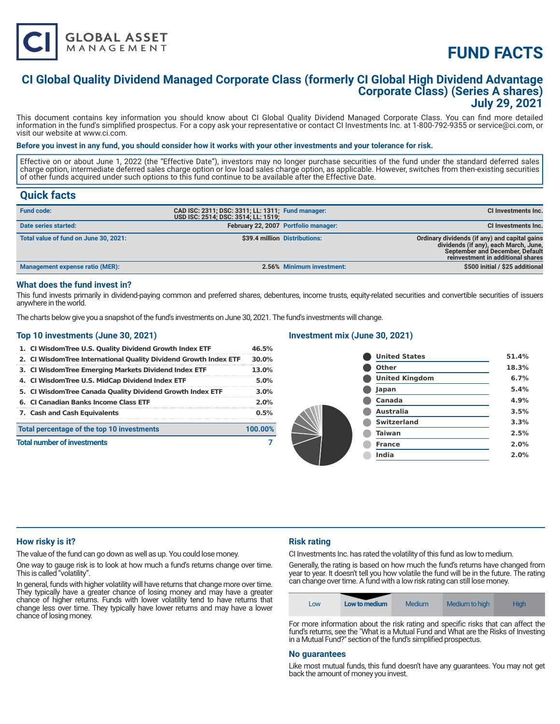

# **FUND FACTS**

### **CI Global Quality Dividend Managed Corporate Class (formerly CI Global High Dividend Advantage Corporate Class) (Series A shares) July 29, 2021**

This document contains key information you should know about CI Global Quality Dividend Managed Corporate Class. You can find more detailed information in the fund's simplified prospectus. For a copy ask your representative or contact CI Investments Inc. at 1-800-792-9355 or service@ci.com, or visit our website at www.ci.com.

#### **Before you invest in any fund, you should consider how it works with your other investments and your tolerance for risk.**

Effective on or about June 1, 2022 (the "Effective Date"), investors may no longer purchase securities of the fund under the standard deferred sales charge option, intermediate deferred sales charge option or low load sales charge option, as applicable. However, switches from then-existing securities of other funds acquired under such options to this fund continue to be available after the Effective Date.

### **Quick facts**

| <b>Fund code:</b>                     | CAD ISC: 2311; DSC: 3311; LL: 1311; Fund manager:<br>USD ISC: 2514; DSC: 3514; LL: 1519; |                                      | CI Investments Inc.                                                                                                                                            |
|---------------------------------------|------------------------------------------------------------------------------------------|--------------------------------------|----------------------------------------------------------------------------------------------------------------------------------------------------------------|
| Date series started:                  |                                                                                          | February 22, 2007 Portfolio manager: | CI Investments Inc.                                                                                                                                            |
| Total value of fund on June 30, 2021: |                                                                                          | \$39.4 million Distributions:        | Ordinary dividends (if any) and capital gains<br>dividends (if any), each March, June,<br>September and December, Default<br>reinvestment in additional shares |
| Management expense ratio (MER):       |                                                                                          | 2.56% Minimum investment:            | \$500 initial / \$25 additional                                                                                                                                |

#### **What does the fund invest in?**

This fund invests primarily in dividend-paying common and preferred shares, debentures, income trusts, equity-related securities and convertible securities of issuers anywhere in the world.

The charts below give you a snapshot of the fund's investments on June 30, 2021. The fund's investments will change.

#### **Top 10 investments (June 30, 2021)**

| 1. CI Wisdom Tree U.S. Quality Dividend Growth Index ETF          | 46.5%   |
|-------------------------------------------------------------------|---------|
| 2. CI Wisdom Tree International Quality Dividend Growth Index ETF | 30.0%   |
| 3. CI WisdomTree Emerging Markets Dividend Index ETF              | 13.0%   |
| 4. CI WisdomTree U.S. MidCap Dividend Index ETF                   | 5.0%    |
| 5. CI WisdomTree Canada Quality Dividend Growth Index ETF         | 3.0%    |
| 6. CI Canadian Banks Income Class ETF                             | 2.0%    |
| 7. Cash and Cash Equivalents                                      | 0.5%    |
| Total percentage of the top 10 investments                        | 100.00% |
| <b>Total number of investments</b>                                |         |
|                                                                   |         |

#### **Investment mix (June 30, 2021)**

| <b>United States</b>  | 51.4% |
|-----------------------|-------|
| Other                 | 18.3% |
| <b>United Kingdom</b> | 6.7%  |
| Japan                 | 5.4%  |
| Canada                | 4.9%  |
| Australia             | 3.5%  |
| <b>Switzerland</b>    | 3.3%  |
| <b>Taiwan</b>         | 2.5%  |
| <b>France</b>         | 2.0%  |
| India                 | 2.0%  |
|                       |       |

#### **How risky is it?**

The value of the fund can go down as well as up. You could lose money.

One way to gauge risk is to look at how much a fund's returns change over time. This is called "volatility".

In general, funds with higher volatility will have returns that change more over time. They typically have a greater chance of losing money and may have a greater chance of higher returns. Funds with lower volatility tend to have returns that change less over time. They typically have lower returns and may have a lower chance of losing money.

#### **Risk rating**

CI Investments Inc. has rated the volatility of this fund as low to medium.

Generally, the rating is based on how much the fund's returns have changed from year to year. It doesn't tell you how volatile the fund will be in the future. The rating can change over time. A fund with a low risk rating can still lose money.

| LOW | Low to medium | Medium | Medium to high | <b>High</b> |
|-----|---------------|--------|----------------|-------------|

For more information about the risk rating and specific risks that can affect the fund's returns, see the "What is a Mutual Fund and What are the Risks of Investing in a Mutual Fund?" section of the fund's simplified prospectus.

#### **No guarantees**

Like most mutual funds, this fund doesn't have any guarantees. You may not get back the amount of money you invest.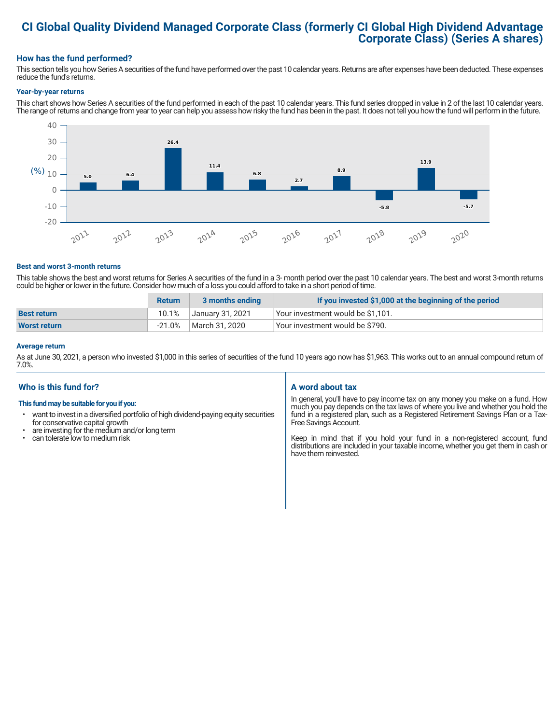# **CI Global Quality Dividend Managed Corporate Class (formerly CI Global High Dividend Advantage Corporate Class) (Series A shares)**

#### **How has the fund performed?**

This section tells you how Series A securities of the fund have performed over the past 10 calendar years. Returns are after expenses have been deducted. These expenses reduce the fund's returns.

#### **Year-by-year returns**

This chart shows how Series A securities of the fund performed in each of the past 10 calendar years. This fund series dropped in value in 2 of the last 10 calendar years. The range of returns and change from year to year can help you assess how risky the fund has been in the past. It does not tell you how the fund will perform in the future.



#### **Best and worst 3-month returns**

This table shows the best and worst returns for Series A securities of the fund in a 3- month period over the past 10 calendar years. The best and worst 3-month returns could be higher or lower in the future. Consider how much of a loss you could afford to take in a short period of time.

|                     | <b>Return</b> | 3 months ending  | If you invested \$1,000 at the beginning of the period |
|---------------------|---------------|------------------|--------------------------------------------------------|
| <b>Best return</b>  | 10.1%         | January 31, 2021 | Vour investment would be \$1,101.                      |
| <b>Worst return</b> | $-21.0%$      | March 31, 2020   | Your investment would be \$790.                        |

#### **Average return**

As at June 30, 2021, a person who invested \$1,000 in this series of securities of the fund 10 years ago now has \$1,963. This works out to an annual compound return of 7.0%.

#### **Who is this fund for?**

#### **This fund may be suitable for you if you:**

- want to invest in a diversified portfolio of high dividend-paying equity securities for conservative capital growth
- $\cdot$  are investing for the medium and/or long term<br> $\cdot$  can tolerate low to medium risk
- can tolerate low to medium risk

#### **A word about tax**

In general, you'll have to pay income tax on any money you make on a fund. How much you pay depends on the tax laws of where you live and whether you hold the fund in a registered plan, such as a Registered Retirement Savings Plan or a Tax-Free Savings Account.

Keep in mind that if you hold your fund in a non-registered account, fund distributions are included in your taxable income, whether you get them in cash or have them reinvested.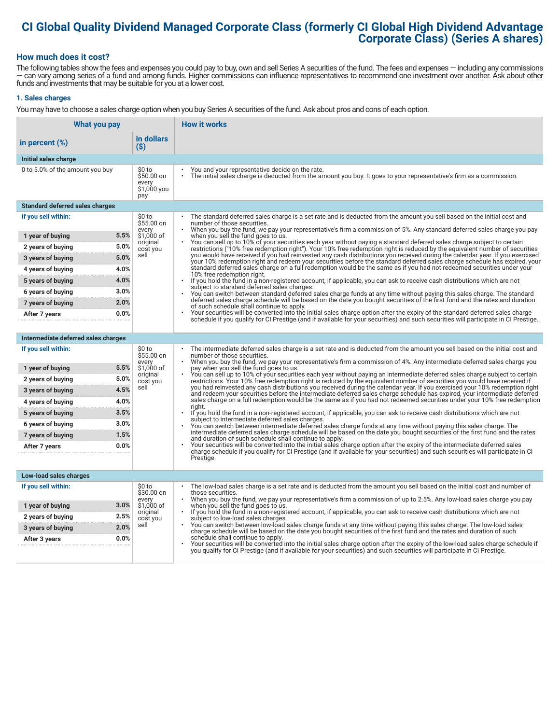### **CI Global Quality Dividend Managed Corporate Class (formerly CI Global High Dividend Advantage Corporate Class) (Series A shares)**

#### **How much does it cost?**

The following tables show the fees and expenses you could pay to buy, own and sell Series A securities of the fund. The fees and expenses — including any commissions — can vary among series of a fund and among funds. Higher commissions can influence representatives to recommend one investment over another. Ask about other funds and investments that may be suitable for you at a lower cost.

#### **1. Sales charges**

You may have to choose a sales charge option when you buy Series A securities of the fund. Ask about pros and cons of each option.

| <b>What you pay</b>                            |                                                      | <b>How it works</b>                                                                                                                                                                                                                                                                                                         |  |
|------------------------------------------------|------------------------------------------------------|-----------------------------------------------------------------------------------------------------------------------------------------------------------------------------------------------------------------------------------------------------------------------------------------------------------------------------|--|
| in percent $(\%)$                              | in dollars<br>(S)                                    |                                                                                                                                                                                                                                                                                                                             |  |
| Initial sales charge                           |                                                      |                                                                                                                                                                                                                                                                                                                             |  |
| 0 to 5.0% of the amount you buy                | \$0 to<br>$$50.00$ on<br>every<br>\$1,000 you<br>pay | You and your representative decide on the rate.<br>The initial sales charge is deducted from the amount you buy. It goes to your representative's firm as a commission.                                                                                                                                                     |  |
| <b>Standard deferred sales charges</b>         |                                                      |                                                                                                                                                                                                                                                                                                                             |  |
| If you sell within:                            | \$0 to<br>\$55.00 on                                 | The standard deferred sales charge is a set rate and is deducted from the amount you sell based on the initial cost and<br>number of those securities.<br>When you buy the fund, we pay your representative's firm a commission of 5%. Any standard deferred sales charge you pay                                           |  |
| 5.5%<br>1 year of buying                       | every<br>\$1,000 of                                  | when you sell the fund goes to us.                                                                                                                                                                                                                                                                                          |  |
| 5.0%<br>2 years of buying                      | original<br>cost you                                 | You can sell up to 10% of your securities each year without paying a standard deferred sales charge subject to certain<br>restrictions ("10% free redemption right"). Your 10% free redemption right is reduced by the equivalent number of securities                                                                      |  |
| 5.0%<br>3 years of buying                      | sell                                                 | you would have received if you had reinvested any cash distributions you received during the calendar year. If you exercised<br>your 10% redemption right and redeem your securities before the standard deferred sales charge schedule has expired, your                                                                   |  |
| 4.0%<br>4 years of buying                      |                                                      | standard deferred sales charge on a full redemption would be the same as if you had not redeemed securities under your<br>10% free redemption right.                                                                                                                                                                        |  |
| 4.0%<br>5 years of buying                      |                                                      | If you hold the fund in a non-registered account, if applicable, you can ask to receive cash distributions which are not<br>subject to standard deferred sales charges.                                                                                                                                                     |  |
| 3.0%<br>6 years of buying                      |                                                      | You can switch between standard deferred sales charge funds at any time without paying this sales charge. The standard                                                                                                                                                                                                      |  |
| 2.0%<br>7 years of buying                      |                                                      | deferred sales charge schedule will be based on the date you bought securities of the first fund and the rates and duration<br>of such schedule shall continue to apply.                                                                                                                                                    |  |
| 0.0%<br>After 7 years                          |                                                      | Your securities will be converted into the initial sales charge option after the expiry of the standard deferred sales charge<br>schedule if you qualify for CI Prestige (and if available for your securities) and such securities will participate in CI Prestige.                                                        |  |
|                                                |                                                      |                                                                                                                                                                                                                                                                                                                             |  |
| Intermediate deferred sales charges            |                                                      |                                                                                                                                                                                                                                                                                                                             |  |
| If you sell within:                            | \$0 to<br>\$55.00 on<br>every                        | The intermediate deferred sales charge is a set rate and is deducted from the amount you sell based on the initial cost and<br>number of those securities.<br>When you buy the fund, we pay your representative's firm a commission of 4%. Any intermediate deferred sales charge you                                       |  |
| 5.5%<br>1 year of buying                       | \$1,000 of<br>original                               | pay when you sell the fund goes to us.<br>You can sell up to 10% of your securities each year without paying an intermediate deferred sales charge subject to certain                                                                                                                                                       |  |
| 5.0%<br>2 years of buying                      | cost you                                             | restrictions. Your 10% free redemption right is reduced by the equivalent number of securities you would have received if                                                                                                                                                                                                   |  |
| 4.5%<br>3 years of buying                      | sell                                                 | you had reinvested any cash distributions you received during the calendar year. If you exercised your 10% redemption right<br>and redeem your securities before the intermediate deferred sales charge schedule has expired, your intermediate deferred                                                                    |  |
| 4.0%<br>4 years of buying                      |                                                      | sales charge on a full redemption would be the same as if you had not redeemed securities under your 10% free redemption<br>riaht.                                                                                                                                                                                          |  |
| 3.5%<br>5 years of buying                      |                                                      | If you hold the fund in a non-registered account, if applicable, you can ask to receive cash distributions which are not<br>subject to intermediate deferred sales charges.                                                                                                                                                 |  |
| 3.0%<br>6 years of buying                      |                                                      | You can switch between intermediate deferred sales charge funds at any time without paying this sales charge. The<br>intermediate deferred sales charge schedule will be based on the date you bought securities of the first fund and the rates                                                                            |  |
| 1.5%<br>7 years of buying                      |                                                      | and duration of such schedule shall continue to apply.                                                                                                                                                                                                                                                                      |  |
| 0.0%<br>After 7 years                          |                                                      | Your securities will be converted into the initial sales charge option after the expiry of the intermediate deferred sales<br>charge schedule if you qualify for CI Prestige (and if available for your securities) and such securities will participate in CI                                                              |  |
|                                                |                                                      | Prestige.                                                                                                                                                                                                                                                                                                                   |  |
| Low-load sales charges                         |                                                      |                                                                                                                                                                                                                                                                                                                             |  |
| If you sell within:                            | \$0 to<br>\$30.00 on                                 | The low-load sales charge is a set rate and is deducted from the amount you sell based on the initial cost and number of<br>those securities.                                                                                                                                                                               |  |
| 3.0%                                           | every                                                | When you buy the fund, we pay your representative's firm a commission of up to 2.5%. Any low-load sales charge you pay                                                                                                                                                                                                      |  |
| 1 year of buying<br>2.5%                       | \$1,000 of<br>original                               | when you sell the fund goes to us.<br>If you hold the fund in a non-registered account, if applicable, you can ask to receive cash distributions which are not<br>subject to low-load sales charges.<br>You can switch between low-load sales charge funds at any time without paying this sales charge. The low-load sales |  |
| 2 years of buying<br>2.0%<br>3 years of buying | cost you<br>sell                                     |                                                                                                                                                                                                                                                                                                                             |  |
| 0.0%<br>After 3 years                          |                                                      | charge schedule will be based on the date you bought securities of the first fund and the rates and duration of such<br>schedule shall continue to apply.                                                                                                                                                                   |  |
|                                                |                                                      | Your securities will be converted into the initial sales charge option after the expiry of the low-load sales charge schedule if<br>you qualify for CI Prestige (and if available for your securities) and such securities will participate in CI Prestige.                                                                 |  |